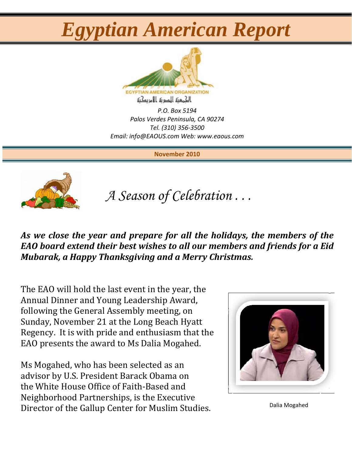# **Egyptian American Report**



P.O. Box 5194 Palos Verdes Peninsula, CA 90274 Tel. (310) 356-3500 Email: info@EAOUS.com Web: www.eaous.com

November 2010



A Season of Celebration...

As we close the year and prepare for all the holidays, the members of the EAO board extend their best wishes to all our members and friends for a Eid Mubarak, a Happy Thanksgiving and a Merry Christmas.

The EAO will hold the last event in the year, the Annual Dinner and Young Leadership Award, following the General Assembly meeting, on Sunday, November 21 at the Long Beach Hyatt Regency. It is with pride and enthusiasm that the EAO presents the award to Ms Dalia Mogahed.

Ms Mogahed, who has been selected as an advisor by U.S. President Barack Obama on the White House Office of Faith-Based and Neighborhood Partnerships, is the Executive Director of the Gallup Center for Muslim Studies.



Dalia Mogahed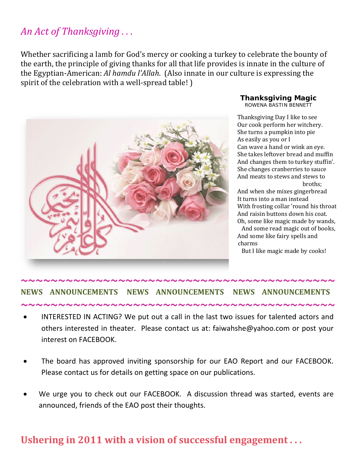# An Act of Thanksgiving...

Whether sacrificing a lamb for God's mercy or cooking a turkey to celebrate the bounty of the earth, the principle of giving thanks for all that life provides is innate in the culture of the Egyptian-American: Al hamdu l'Allah. (Also innate in our culture is expressing the spirit of the celebration with a well-spread table!)



### **Thanksgiving Magic**

ROWENA BASTIN BENNETT

Thanksgiving Day I like to see Our cook perform her witchery. She turns a pumpkin into pie As easily as you or I Can wave a hand or wink an eye. She takes leftover bread and muffin And changes them to turkey stuffin'. She changes cranberries to sauce And meats to stews and stews to broths:

And when she mixes gingerbread It turns into a man instead With frosting collar 'round his throat And raisin buttons down his coat. Oh, some like magic made by wands, And some read magic out of books,

And some like fairy spells and charms

But I like magic made by cooks!

#### **NEWS ANNOUNCEMENTS** NEWS ANNOUNCEMENTS NEWS ANNOUNCEMENTS

- INTERESTED IN ACTING? We put out a call in the last two issues for talented actors and others interested in theater. Please contact us at: faiwahshe@yahoo.com or post your interest on FACEBOOK.
- The board has approved inviting sponsorship for our EAO Report and our FACEBOOK. Please contact us for details on getting space on our publications.
- We urge you to check out our FACEBOOK. A discussion thread was started, events are announced, friends of the EAO post their thoughts.

## Ushering in 2011 with a vision of successful engagement...